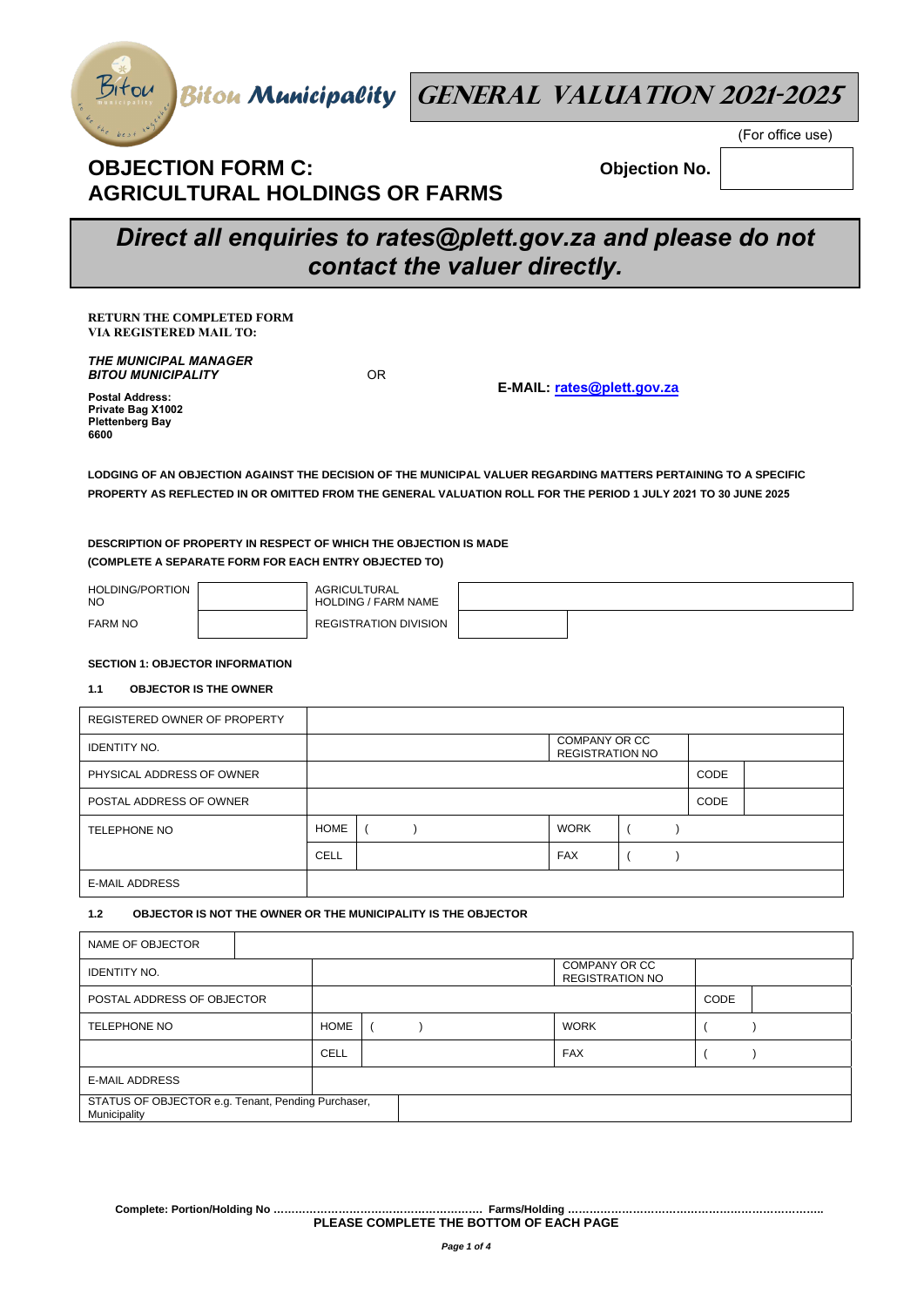

Biton Biton Municipality **GENERAL VALUATION 2021-2025** 

## **OBJECTION FORM C: AGRICULTURAL HOLDINGS OR FARMS**

**Objection No.** 

(For office use)

# *Direct all enquiries to rates@plett.gov.za and please do not contact the valuer directly.*

**RETURN THE COMPLETED FORM VIA REGISTERED MAIL TO:** 

*THE MUNICIPAL MANAGER BITOU MUNICIPALITY*

OR

**E-MAIL: rates@plett.gov.za**

**Postal Address: Private Bag X1002 Plettenberg Bay 6600** 

**LODGING OF AN OBJECTION AGAINST THE DECISION OF THE MUNICIPAL VALUER REGARDING MATTERS PERTAINING TO A SPECIFIC PROPERTY AS REFLECTED IN OR OMITTED FROM THE GENERAL VALUATION ROLL FOR THE PERIOD 1 JULY 2021 TO 30 JUNE 2025**

## **DESCRIPTION OF PROPERTY IN RESPECT OF WHICH THE OBJECTION IS MADE (COMPLETE A SEPARATE FORM FOR EACH ENTRY OBJECTED TO)**

| HOLDING/PORTION<br><b>NO</b> | AGRICULTURAL<br><b>HOLDING / FARM NAME</b> |  |
|------------------------------|--------------------------------------------|--|
| <b>FARM NO</b>               | <b>REGISTRATION DIVISION</b>               |  |

### **SECTION 1: OBJECTOR INFORMATION**

### **1.1 OBJECTOR IS THE OWNER**

| REGISTERED OWNER OF PROPERTY |             |  |                                         |             |  |
|------------------------------|-------------|--|-----------------------------------------|-------------|--|
| <b>IDENTITY NO.</b>          |             |  | COMPANY OR CC<br><b>REGISTRATION NO</b> |             |  |
| PHYSICAL ADDRESS OF OWNER    |             |  |                                         | <b>CODE</b> |  |
| POSTAL ADDRESS OF OWNER      |             |  |                                         | CODE        |  |
| <b>TELEPHONE NO</b>          | <b>HOME</b> |  | <b>WORK</b>                             |             |  |
|                              | <b>CELL</b> |  | <b>FAX</b>                              |             |  |
| <b>E-MAIL ADDRESS</b>        |             |  |                                         |             |  |

## **1.2 OBJECTOR IS NOT THE OWNER OR THE MUNICIPALITY IS THE OBJECTOR**

| NAME OF OBJECTOR                                                   |  |             |  |  |             |                                         |  |  |  |
|--------------------------------------------------------------------|--|-------------|--|--|-------------|-----------------------------------------|--|--|--|
| <b>IDENTITY NO.</b>                                                |  |             |  |  |             | COMPANY OR CC<br><b>REGISTRATION NO</b> |  |  |  |
| POSTAL ADDRESS OF OBJECTOR                                         |  |             |  |  |             | CODE                                    |  |  |  |
| <b>TELEPHONE NO</b>                                                |  | <b>HOME</b> |  |  | <b>WORK</b> |                                         |  |  |  |
|                                                                    |  | CELL        |  |  |             | <b>FAX</b>                              |  |  |  |
| <b>E-MAIL ADDRESS</b>                                              |  |             |  |  |             |                                         |  |  |  |
| STATUS OF OBJECTOR e.g. Tenant, Pending Purchaser,<br>Municipality |  |             |  |  |             |                                         |  |  |  |

**Complete: Portion/Holding No …………………………………………………. Farms/Holding …………………………………………………………….. PLEASE COMPLETE THE BOTTOM OF EACH PAGE**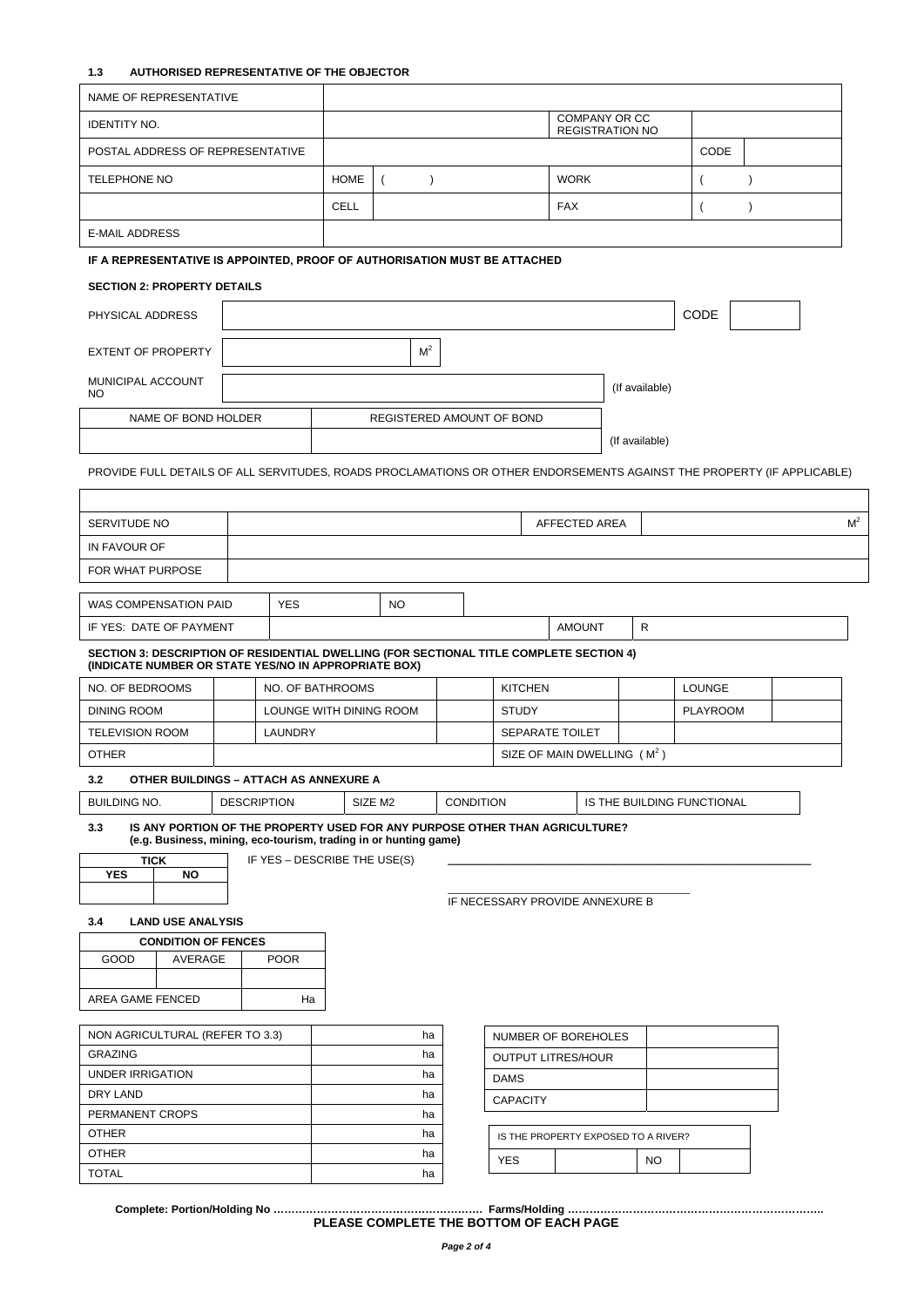## **1.3 AUTHORISED REPRESENTATIVE OF THE OBJECTOR**

| NAME OF REPRESENTATIVE                                                                                                                                 |  |                    |                              |                       |  |                                 |                                                |  |                |                 |               |  |                |
|--------------------------------------------------------------------------------------------------------------------------------------------------------|--|--------------------|------------------------------|-----------------------|--|---------------------------------|------------------------------------------------|--|----------------|-----------------|---------------|--|----------------|
| <b>IDENTITY NO.</b>                                                                                                                                    |  |                    |                              |                       |  |                                 | <b>COMPANY OR CC</b><br><b>REGISTRATION NO</b> |  |                |                 |               |  |                |
| POSTAL ADDRESS OF REPRESENTATIVE                                                                                                                       |  |                    |                              |                       |  |                                 |                                                |  |                | CODE            |               |  |                |
| <b>TELEPHONE NO</b>                                                                                                                                    |  |                    | <b>HOME</b>                  | $\left($<br>$\lambda$ |  |                                 | <b>WORK</b>                                    |  |                | $\overline{ }$  | $\mathcal{E}$ |  |                |
|                                                                                                                                                        |  |                    |                              |                       |  |                                 |                                                |  |                |                 |               |  |                |
|                                                                                                                                                        |  | CELL<br><b>FAX</b> |                              |                       |  |                                 |                                                |  | $\lambda$      |                 |               |  |                |
| <b>E-MAIL ADDRESS</b>                                                                                                                                  |  |                    |                              |                       |  |                                 |                                                |  |                |                 |               |  |                |
| IF A REPRESENTATIVE IS APPOINTED, PROOF OF AUTHORISATION MUST BE ATTACHED                                                                              |  |                    |                              |                       |  |                                 |                                                |  |                |                 |               |  |                |
| <b>SECTION 2: PROPERTY DETAILS</b>                                                                                                                     |  |                    |                              |                       |  |                                 |                                                |  |                |                 |               |  |                |
| PHYSICAL ADDRESS                                                                                                                                       |  |                    |                              |                       |  |                                 |                                                |  |                | CODE            |               |  |                |
|                                                                                                                                                        |  |                    |                              |                       |  |                                 |                                                |  |                |                 |               |  |                |
| <b>EXTENT OF PROPERTY</b>                                                                                                                              |  |                    |                              | M <sup>2</sup>        |  |                                 |                                                |  |                |                 |               |  |                |
| MUNICIPAL ACCOUNT                                                                                                                                      |  |                    |                              |                       |  |                                 |                                                |  | (If available) |                 |               |  |                |
| NO.                                                                                                                                                    |  |                    |                              |                       |  |                                 |                                                |  |                |                 |               |  |                |
| NAME OF BOND HOLDER                                                                                                                                    |  |                    |                              |                       |  | REGISTERED AMOUNT OF BOND       |                                                |  |                |                 |               |  |                |
|                                                                                                                                                        |  |                    |                              |                       |  |                                 |                                                |  | (If available) |                 |               |  |                |
| PROVIDE FULL DETAILS OF ALL SERVITUDES, ROADS PROCLAMATIONS OR OTHER ENDORSEMENTS AGAINST THE PROPERTY (IF APPLICABLE)                                 |  |                    |                              |                       |  |                                 |                                                |  |                |                 |               |  |                |
|                                                                                                                                                        |  |                    |                              |                       |  |                                 |                                                |  |                |                 |               |  |                |
| SERVITUDE NO                                                                                                                                           |  |                    |                              |                       |  |                                 | AFFECTED AREA                                  |  |                |                 |               |  | M <sup>2</sup> |
| IN FAVOUR OF                                                                                                                                           |  |                    |                              |                       |  |                                 |                                                |  |                |                 |               |  |                |
| FOR WHAT PURPOSE                                                                                                                                       |  |                    |                              |                       |  |                                 |                                                |  |                |                 |               |  |                |
|                                                                                                                                                        |  |                    |                              |                       |  |                                 |                                                |  |                |                 |               |  |                |
| WAS COMPENSATION PAID                                                                                                                                  |  | <b>YES</b>         |                              | <b>NO</b>             |  |                                 |                                                |  |                |                 |               |  |                |
| IF YES: DATE OF PAYMENT                                                                                                                                |  |                    |                              |                       |  |                                 | <b>AMOUNT</b>                                  |  | R              |                 |               |  |                |
| SECTION 3: DESCRIPTION OF RESIDENTIAL DWELLING (FOR SECTIONAL TITLE COMPLETE SECTION 4)<br>(INDICATE NUMBER OR STATE YES/NO IN APPROPRIATE BOX)        |  |                    |                              |                       |  |                                 |                                                |  |                |                 |               |  |                |
| NO. OF BEDROOMS                                                                                                                                        |  |                    | NO. OF BATHROOMS             |                       |  | <b>KITCHEN</b>                  |                                                |  |                | <b>LOUNGE</b>   |               |  |                |
| <b>DINING ROOM</b>                                                                                                                                     |  |                    | LOUNGE WITH DINING ROOM      |                       |  | <b>STUDY</b>                    |                                                |  |                | <b>PLAYROOM</b> |               |  |                |
| <b>TELEVISION ROOM</b>                                                                                                                                 |  | <b>LAUNDRY</b>     |                              |                       |  |                                 | <b>SEPARATE TOILET</b>                         |  |                |                 |               |  |                |
| <b>OTHER</b>                                                                                                                                           |  |                    |                              |                       |  |                                 | SIZE OF MAIN DWELLING (M <sup>2</sup> )        |  |                |                 |               |  |                |
| OTHER BUILDINGS - ATTACH AS ANNEXURE A<br>3.2                                                                                                          |  |                    |                              |                       |  |                                 |                                                |  |                |                 |               |  |                |
|                                                                                                                                                        |  |                    |                              |                       |  |                                 |                                                |  |                |                 |               |  |                |
| <b>BUILDING NO.</b><br><b>DESCRIPTION</b><br>SIZE M2<br><b>CONDITION</b><br>IS THE BUILDING FUNCTIONAL                                                 |  |                    |                              |                       |  |                                 |                                                |  |                |                 |               |  |                |
|                                                                                                                                                        |  |                    |                              |                       |  |                                 |                                                |  |                |                 |               |  |                |
| IS ANY PORTION OF THE PROPERTY USED FOR ANY PURPOSE OTHER THAN AGRICULTURE?<br>3.3<br>(e.g. Business, mining, eco-tourism, trading in or hunting game) |  |                    |                              |                       |  |                                 |                                                |  |                |                 |               |  |                |
| <b>TICK</b>                                                                                                                                            |  |                    | IF YES - DESCRIBE THE USE(S) |                       |  |                                 |                                                |  |                |                 |               |  |                |
| <b>YES</b><br><b>NO</b>                                                                                                                                |  |                    |                              |                       |  |                                 |                                                |  |                |                 |               |  |                |
|                                                                                                                                                        |  |                    |                              |                       |  | IF NECESSARY PROVIDE ANNEXURE B |                                                |  |                |                 |               |  |                |
| <b>LAND USE ANALYSIS</b><br>3.4                                                                                                                        |  |                    |                              |                       |  |                                 |                                                |  |                |                 |               |  |                |
| <b>CONDITION OF FENCES</b><br>GOOD                                                                                                                     |  | <b>POOR</b>        |                              |                       |  |                                 |                                                |  |                |                 |               |  |                |
| AVERAGE                                                                                                                                                |  |                    |                              |                       |  |                                 |                                                |  |                |                 |               |  |                |
| AREA GAME FENCED                                                                                                                                       |  | Ha                 |                              |                       |  |                                 |                                                |  |                |                 |               |  |                |
|                                                                                                                                                        |  |                    |                              |                       |  |                                 |                                                |  |                |                 |               |  |                |
| NON AGRICULTURAL (REFER TO 3.3)                                                                                                                        |  |                    |                              | ha                    |  |                                 | NUMBER OF BOREHOLES                            |  |                |                 |               |  |                |
| <b>GRAZING</b>                                                                                                                                         |  |                    |                              | ha                    |  |                                 | <b>OUTPUT LITRES/HOUR</b>                      |  |                |                 |               |  |                |
| <b>UNDER IRRIGATION</b>                                                                                                                                |  |                    |                              | ha                    |  | <b>DAMS</b>                     |                                                |  |                |                 |               |  |                |
| DRY LAND<br>PERMANENT CROPS                                                                                                                            |  |                    |                              | ha<br>ha              |  | <b>CAPACITY</b>                 |                                                |  |                |                 |               |  |                |
| <b>OTHER</b>                                                                                                                                           |  |                    |                              | ha                    |  |                                 |                                                |  |                |                 |               |  |                |
| <b>OTHER</b>                                                                                                                                           |  |                    |                              | ha                    |  | <b>YES</b>                      | IS THE PROPERTY EXPOSED TO A RIVER?            |  | NO.            |                 |               |  |                |

**Complete: Portion/Holding No …………………………………………………. Farms/Holding …………………………………………………………….. PLEASE COMPLETE THE BOTTOM OF EACH PAGE**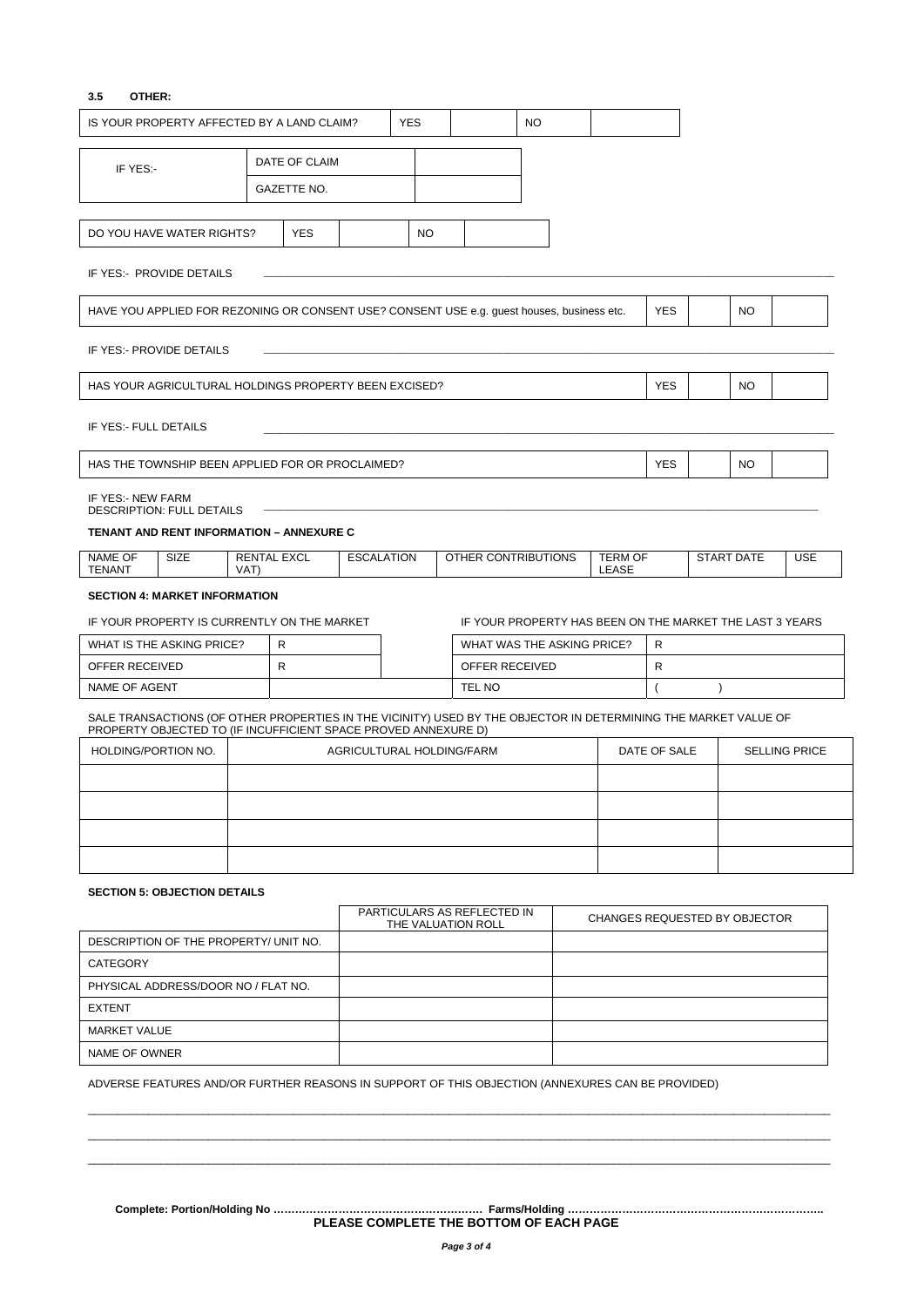## **3.5 OTHER:**

|                                                                                                                       | IS YOUR PROPERTY AFFECTED BY A LAND CLAIM?                                                                                                                                        |                            |               |                           | <b>YES</b>                                        |  |        |                     | <b>NO</b> |                                                          |                                      |           |                   |            |
|-----------------------------------------------------------------------------------------------------------------------|-----------------------------------------------------------------------------------------------------------------------------------------------------------------------------------|----------------------------|---------------|---------------------------|---------------------------------------------------|--|--------|---------------------|-----------|----------------------------------------------------------|--------------------------------------|-----------|-------------------|------------|
|                                                                                                                       |                                                                                                                                                                                   |                            | DATE OF CLAIM |                           |                                                   |  |        |                     |           |                                                          |                                      |           |                   |            |
| IF YES:-                                                                                                              |                                                                                                                                                                                   |                            | GAZETTE NO.   |                           |                                                   |  |        |                     |           |                                                          |                                      |           |                   |            |
|                                                                                                                       |                                                                                                                                                                                   |                            |               |                           |                                                   |  |        |                     |           |                                                          |                                      |           |                   |            |
|                                                                                                                       | DO YOU HAVE WATER RIGHTS?                                                                                                                                                         |                            | <b>YES</b>    |                           | <b>NO</b>                                         |  |        |                     |           |                                                          |                                      |           |                   |            |
|                                                                                                                       | IF YES:- PROVIDE DETAILS                                                                                                                                                          |                            |               |                           |                                                   |  |        |                     |           |                                                          |                                      |           |                   |            |
| <b>YES</b><br><b>NO</b><br>HAVE YOU APPLIED FOR REZONING OR CONSENT USE? CONSENT USE e.g. guest houses, business etc. |                                                                                                                                                                                   |                            |               |                           |                                                   |  |        |                     |           |                                                          |                                      |           |                   |            |
|                                                                                                                       | IF YES:- PROVIDE DETAILS                                                                                                                                                          |                            |               |                           |                                                   |  |        |                     |           |                                                          |                                      |           |                   |            |
|                                                                                                                       | HAS YOUR AGRICULTURAL HOLDINGS PROPERTY BEEN EXCISED?                                                                                                                             |                            |               |                           |                                                   |  |        |                     |           |                                                          | <b>YES</b>                           |           | NO.               |            |
| IF YES:- FULL DETAILS                                                                                                 |                                                                                                                                                                                   |                            |               |                           |                                                   |  |        |                     |           |                                                          |                                      |           |                   |            |
|                                                                                                                       | HAS THE TOWNSHIP BEEN APPLIED FOR OR PROCLAIMED?                                                                                                                                  |                            |               |                           |                                                   |  |        |                     |           |                                                          | <b>YES</b>                           |           | <b>NO</b>         |            |
| IF YES:- NEW FARM                                                                                                     | DESCRIPTION: FULL DETAILS                                                                                                                                                         |                            |               |                           |                                                   |  |        |                     |           |                                                          |                                      |           |                   |            |
|                                                                                                                       | TENANT AND RENT INFORMATION - ANNEXURE C                                                                                                                                          |                            |               |                           |                                                   |  |        |                     |           |                                                          |                                      |           |                   |            |
| NAME OF<br>TENANT                                                                                                     | SIZE                                                                                                                                                                              | <b>RENTAL EXCL</b><br>VAT) |               | <b>ESCALATION</b>         |                                                   |  |        | OTHER CONTRIBUTIONS |           | <b>TERM OF</b><br>LEASE                                  |                                      |           | <b>START DATE</b> | <b>USE</b> |
|                                                                                                                       | <b>SECTION 4: MARKET INFORMATION</b>                                                                                                                                              |                            |               |                           |                                                   |  |        |                     |           |                                                          |                                      |           |                   |            |
|                                                                                                                       | IF YOUR PROPERTY IS CURRENTLY ON THE MARKET                                                                                                                                       |                            |               |                           |                                                   |  |        |                     |           | IF YOUR PROPERTY HAS BEEN ON THE MARKET THE LAST 3 YEARS |                                      |           |                   |            |
|                                                                                                                       | WHAT IS THE ASKING PRICE?                                                                                                                                                         |                            | R             |                           |                                                   |  |        |                     |           | WHAT WAS THE ASKING PRICE?                               | R                                    |           |                   |            |
| OFFER RECEIVED                                                                                                        |                                                                                                                                                                                   |                            | R             |                           |                                                   |  |        | OFFER RECEIVED      |           |                                                          | R                                    |           |                   |            |
| NAME OF AGENT                                                                                                         |                                                                                                                                                                                   |                            |               |                           |                                                   |  | TEL NO |                     |           |                                                          | $\overline{ }$                       | $\lambda$ |                   |            |
|                                                                                                                       | SALE TRANSACTIONS (OF OTHER PROPERTIES IN THE VICINITY) USED BY THE OBJECTOR IN DETERMINING THE MARKET VALUE OF<br>PROPERTY OBJECTED TO (IF INCUFFICIENT SPACE PROVED ANNEXURE D) |                            |               |                           |                                                   |  |        |                     |           |                                                          |                                      |           |                   |            |
| HOLDING/PORTION NO.                                                                                                   |                                                                                                                                                                                   |                            |               | AGRICULTURAL HOLDING/FARM |                                                   |  |        |                     |           |                                                          | DATE OF SALE<br><b>SELLING PRICE</b> |           |                   |            |
|                                                                                                                       |                                                                                                                                                                                   |                            |               |                           |                                                   |  |        |                     |           |                                                          |                                      |           |                   |            |
|                                                                                                                       |                                                                                                                                                                                   |                            |               |                           |                                                   |  |        |                     |           |                                                          |                                      |           |                   |            |
|                                                                                                                       |                                                                                                                                                                                   |                            |               |                           |                                                   |  |        |                     |           |                                                          |                                      |           |                   |            |
|                                                                                                                       |                                                                                                                                                                                   |                            |               |                           |                                                   |  |        |                     |           |                                                          |                                      |           |                   |            |
|                                                                                                                       | <b>SECTION 5: OBJECTION DETAILS</b>                                                                                                                                               |                            |               |                           |                                                   |  |        |                     |           |                                                          |                                      |           |                   |            |
|                                                                                                                       |                                                                                                                                                                                   |                            |               |                           | PARTICULARS AS REFLECTED IN<br>THE VALUATION ROLL |  |        |                     |           | CHANGES REQUESTED BY OBJECTOR                            |                                      |           |                   |            |
|                                                                                                                       | DESCRIPTION OF THE PROPERTY/ UNIT NO.                                                                                                                                             |                            |               |                           |                                                   |  |        |                     |           |                                                          |                                      |           |                   |            |
| CATEGORY                                                                                                              |                                                                                                                                                                                   |                            |               |                           |                                                   |  |        |                     |           |                                                          |                                      |           |                   |            |
|                                                                                                                       | PHYSICAL ADDRESS/DOOR NO / FLAT NO.                                                                                                                                               |                            |               |                           |                                                   |  |        |                     |           |                                                          |                                      |           |                   |            |
| <b>EXTENT</b>                                                                                                         |                                                                                                                                                                                   |                            |               |                           |                                                   |  |        |                     |           |                                                          |                                      |           |                   |            |
| <b>MARKET VALUE</b>                                                                                                   |                                                                                                                                                                                   |                            |               |                           |                                                   |  |        |                     |           |                                                          |                                      |           |                   |            |
| NAME OF OWNER                                                                                                         |                                                                                                                                                                                   |                            |               |                           |                                                   |  |        |                     |           |                                                          |                                      |           |                   |            |

ADVERSE FEATURES AND/OR FURTHER REASONS IN SUPPORT OF THIS OBJECTION (ANNEXURES CAN BE PROVIDED)

**Complete: Portion/Holding No …………………………………………………. Farms/Holding …………………………………………………………….. PLEASE COMPLETE THE BOTTOM OF EACH PAGE** 

 $\bot$  , and the state of the state of the state of the state of the state of the state of the state of the state of the state of the state of the state of the state of the state of the state of the state of the state of th  $\bot$  , and the state of the state of the state of the state of the state of the state of the state of the state of the state of the state of the state of the state of the state of the state of the state of the state of th  $\bot$  , and the set of the set of the set of the set of the set of the set of the set of the set of the set of the set of the set of the set of the set of the set of the set of the set of the set of the set of the set of t